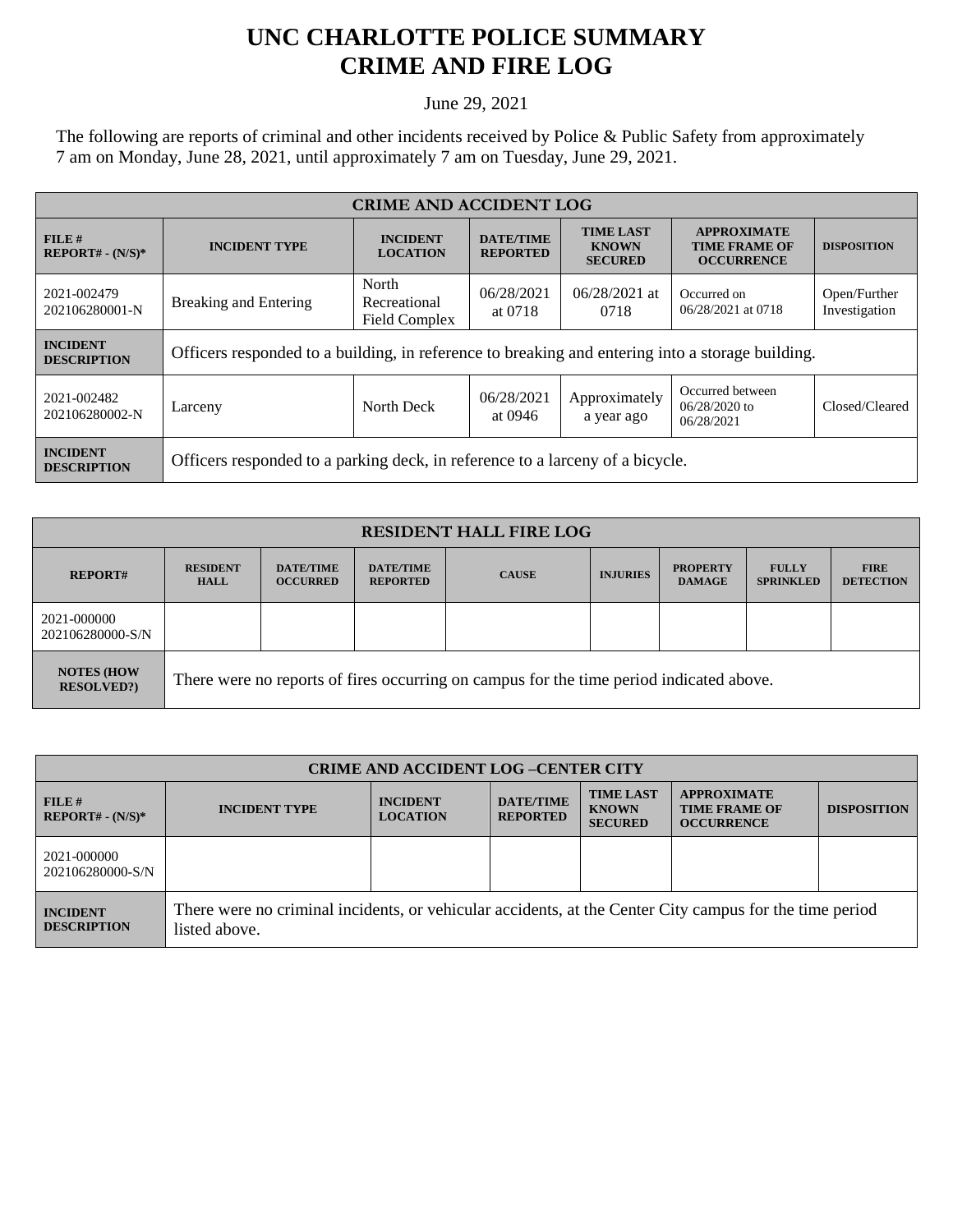## **UNC CHARLOTTE POLICE SUMMARY CRIME AND FIRE LOG**

June 29, 2021

The following are reports of criminal and other incidents received by Police & Public Safety from approximately 7 am on Monday, June 28, 2021, until approximately 7 am on Tuesday, June 29, 2021.

| <b>CRIME AND ACCIDENT LOG</b>         |                                                                                                  |                                    |                                     |                                                    |                                                                 |                               |
|---------------------------------------|--------------------------------------------------------------------------------------------------|------------------------------------|-------------------------------------|----------------------------------------------------|-----------------------------------------------------------------|-------------------------------|
| FILE#<br>$REPORT# - (N/S)*$           | <b>INCIDENT TYPE</b>                                                                             | <b>INCIDENT</b><br><b>LOCATION</b> | <b>DATE/TIME</b><br><b>REPORTED</b> | <b>TIME LAST</b><br><b>KNOWN</b><br><b>SECURED</b> | <b>APPROXIMATE</b><br><b>TIME FRAME OF</b><br><b>OCCURRENCE</b> | <b>DISPOSITION</b>            |
| 2021-002479<br>202106280001-N         | North<br><b>Breaking and Entering</b><br>Recreational<br>Field Complex                           |                                    | 06/28/2021<br>at 0718               | $06/28/2021$ at<br>0718                            | Occurred on<br>06/28/2021 at 0718                               | Open/Further<br>Investigation |
| <b>INCIDENT</b><br><b>DESCRIPTION</b> | Officers responded to a building, in reference to breaking and entering into a storage building. |                                    |                                     |                                                    |                                                                 |                               |
| 2021-002482<br>202106280002-N         | Larceny                                                                                          | North Deck                         | 06/28/2021<br>at 0946               | Approximately<br>a year ago                        | Occurred between<br>$06/28/2020$ to<br>06/28/2021               | Closed/Cleared                |
| <b>INCIDENT</b><br><b>DESCRIPTION</b> | Officers responded to a parking deck, in reference to a larceny of a bicycle.                    |                                    |                                     |                                                    |                                                                 |                               |

| <b>RESIDENT HALL FIRE LOG</b>           |                                                                                         |                                     |                                     |              |                 |                                  |                                  |                                 |
|-----------------------------------------|-----------------------------------------------------------------------------------------|-------------------------------------|-------------------------------------|--------------|-----------------|----------------------------------|----------------------------------|---------------------------------|
| <b>REPORT#</b>                          | <b>RESIDENT</b><br><b>HALL</b>                                                          | <b>DATE/TIME</b><br><b>OCCURRED</b> | <b>DATE/TIME</b><br><b>REPORTED</b> | <b>CAUSE</b> | <b>INJURIES</b> | <b>PROPERTY</b><br><b>DAMAGE</b> | <b>FULLY</b><br><b>SPRINKLED</b> | <b>FIRE</b><br><b>DETECTION</b> |
| 2021-000000<br>202106280000-S/N         |                                                                                         |                                     |                                     |              |                 |                                  |                                  |                                 |
| <b>NOTES (HOW)</b><br><b>RESOLVED?)</b> | There were no reports of fires occurring on campus for the time period indicated above. |                                     |                                     |              |                 |                                  |                                  |                                 |

| <b>CRIME AND ACCIDENT LOG-CENTER CITY</b> |                                                                                                                          |                                    |                                     |                                                    |                                                                 |                    |  |
|-------------------------------------------|--------------------------------------------------------------------------------------------------------------------------|------------------------------------|-------------------------------------|----------------------------------------------------|-----------------------------------------------------------------|--------------------|--|
| FILE H<br>$REPORT# - (N/S)*$              | <b>INCIDENT TYPE</b>                                                                                                     | <b>INCIDENT</b><br><b>LOCATION</b> | <b>DATE/TIME</b><br><b>REPORTED</b> | <b>TIME LAST</b><br><b>KNOWN</b><br><b>SECURED</b> | <b>APPROXIMATE</b><br><b>TIME FRAME OF</b><br><b>OCCURRENCE</b> | <b>DISPOSITION</b> |  |
| 2021-000000<br>202106280000-S/N           |                                                                                                                          |                                    |                                     |                                                    |                                                                 |                    |  |
| <b>INCIDENT</b><br><b>DESCRIPTION</b>     | There were no criminal incidents, or vehicular accidents, at the Center City campus for the time period<br>listed above. |                                    |                                     |                                                    |                                                                 |                    |  |